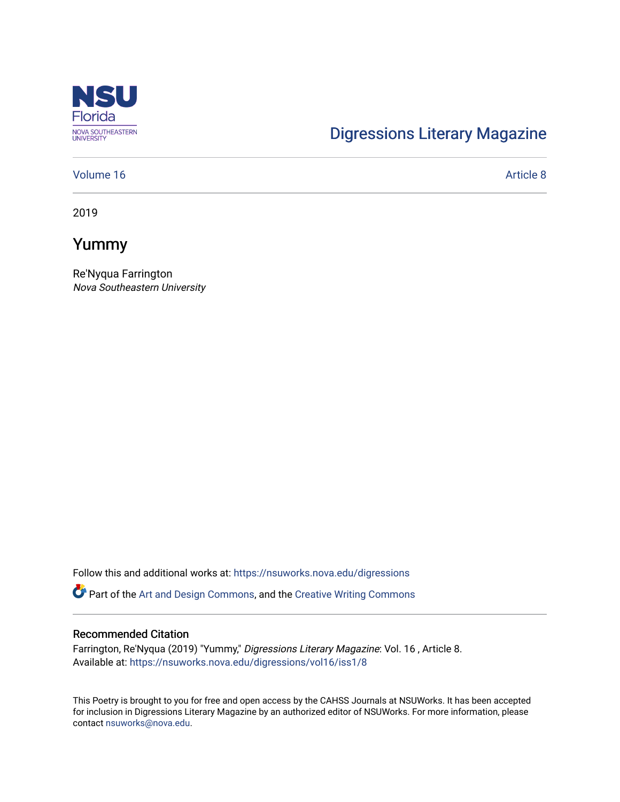

# [Digressions Literary Magazine](https://nsuworks.nova.edu/digressions)

#### [Volume 16](https://nsuworks.nova.edu/digressions/vol16) Article 8

2019

## Yummy

Re'Nyqua Farrington Nova Southeastern University

Follow this and additional works at: [https://nsuworks.nova.edu/digressions](https://nsuworks.nova.edu/digressions?utm_source=nsuworks.nova.edu%2Fdigressions%2Fvol16%2Fiss1%2F8&utm_medium=PDF&utm_campaign=PDFCoverPages) 

Part of the [Art and Design Commons](http://network.bepress.com/hgg/discipline/1049?utm_source=nsuworks.nova.edu%2Fdigressions%2Fvol16%2Fiss1%2F8&utm_medium=PDF&utm_campaign=PDFCoverPages), and the [Creative Writing Commons](http://network.bepress.com/hgg/discipline/574?utm_source=nsuworks.nova.edu%2Fdigressions%2Fvol16%2Fiss1%2F8&utm_medium=PDF&utm_campaign=PDFCoverPages)

#### Recommended Citation

Farrington, Re'Nyqua (2019) "Yummy," Digressions Literary Magazine: Vol. 16 , Article 8. Available at: [https://nsuworks.nova.edu/digressions/vol16/iss1/8](https://nsuworks.nova.edu/digressions/vol16/iss1/8?utm_source=nsuworks.nova.edu%2Fdigressions%2Fvol16%2Fiss1%2F8&utm_medium=PDF&utm_campaign=PDFCoverPages) 

This Poetry is brought to you for free and open access by the CAHSS Journals at NSUWorks. It has been accepted for inclusion in Digressions Literary Magazine by an authorized editor of NSUWorks. For more information, please contact [nsuworks@nova.edu.](mailto:nsuworks@nova.edu)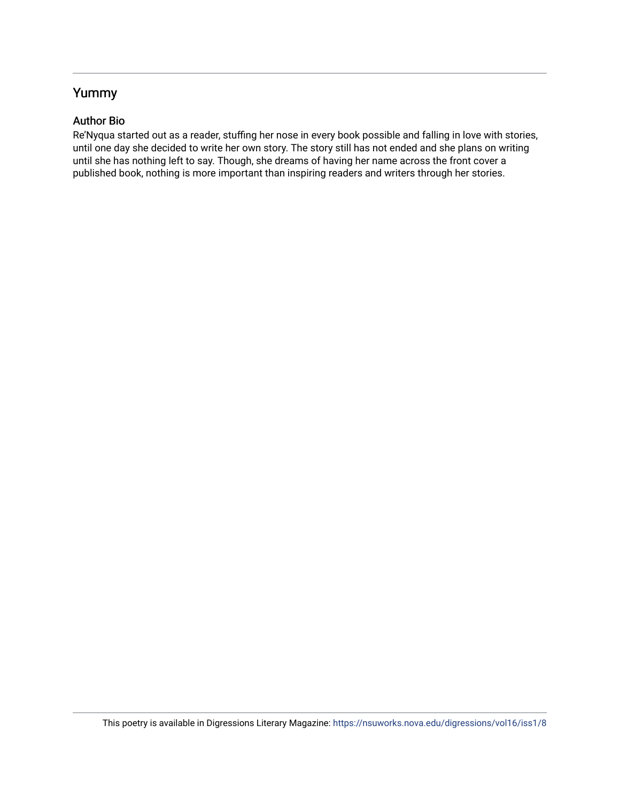### Yummy

### Author Bio

Re'Nyqua started out as a reader, stuffing her nose in every book possible and falling in love with stories, until one day she decided to write her own story. The story still has not ended and she plans on writing until she has nothing left to say. Though, she dreams of having her name across the front cover a published book, nothing is more important than inspiring readers and writers through her stories.